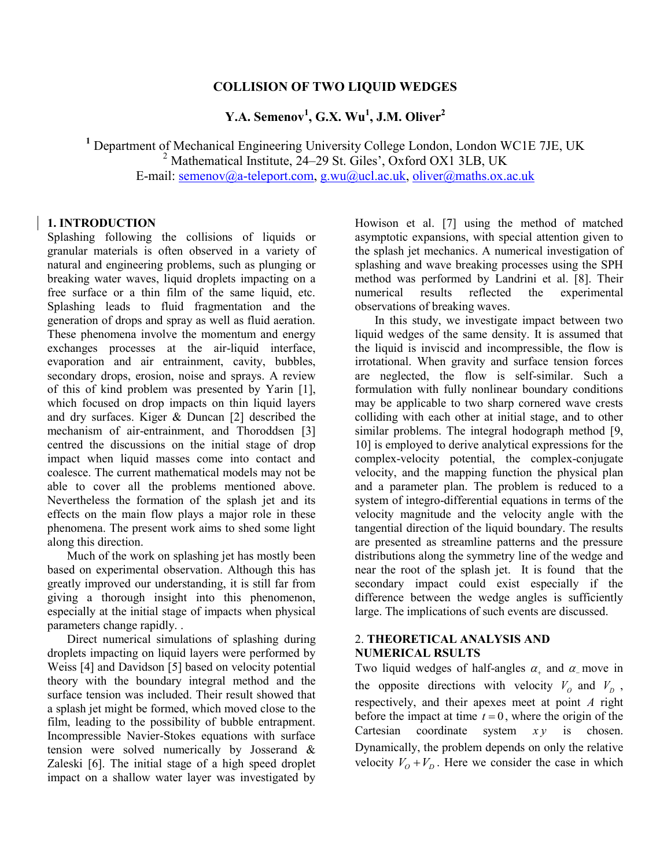## **COLLISION OF TWO LIQUID WEDGES**

**Y.A. Semenov<sup>1</sup> , G.X. Wu<sup>1</sup> , J.M. Oliver<sup>2</sup>**

**<sup>1</sup>** Department of Mechanical Engineering University College London, London WC1E 7JE, UK <sup>2</sup> Mathematical Institute, 24–29 St. Giles', Oxford OX1 3LB, UK E-mail: [semenov@a-teleport.com, g.wu@ucl.ac.uk,](mailto:semenov@a-teleport.com) [oliver@maths.ox.ac.uk](mailto:oliver@maths.ox.ac.uk)

## **1. INTRODUCTION**

Splashing following the collisions of liquids or granular materials is often observed in a variety of natural and engineering problems, such as plunging or breaking water waves, liquid droplets impacting on a free surface or a thin film of the same liquid, etc. Splashing leads to fluid fragmentation and the generation of drops and spray as well as fluid aeration. These phenomena involve the momentum and energy exchanges processes at the air-liquid interface, evaporation and air entrainment, cavity, bubbles, secondary drops, erosion, noise and sprays. A review of this of kind problem was presented by Yarin [1], which focused on drop impacts on thin liquid layers and dry surfaces. Kiger & Duncan [2] described the mechanism of air-entrainment, and Thoroddsen [3] centred the discussions on the initial stage of drop impact when liquid masses come into contact and coalesce. The current mathematical models may not be able to cover all the problems mentioned above. Nevertheless the formation of the splash jet and its effects on the main flow plays a major role in these phenomena. The present work aims to shed some light along this direction.

Much of the work on splashing jet has mostly been based on experimental observation. Although this has greatly improved our understanding, it is still far from giving a thorough insight into this phenomenon, especially at the initial stage of impacts when physical parameters change rapidly. .

Direct numerical simulations of splashing during droplets impacting on liquid layers were performed by Weiss [4] and Davidson [5] based on velocity potential theory with the boundary integral method and the surface tension was included. Their result showed that a splash jet might be formed, which moved close to the film, leading to the possibility of bubble entrapment. Incompressible Navier-Stokes equations with surface tension were solved numerically by Josserand & Zaleski [6]. The initial stage of a high speed droplet impact on a shallow water layer was investigated by Howison et al. [7] using the method of matched asymptotic expansions, with special attention given to the splash jet mechanics. A numerical investigation of splashing and wave breaking processes using the SPH method was performed by Landrini et al. [8]. Their numerical results reflected the experimental observations of breaking waves.

In this study, we investigate impact between two liquid wedges of the same density. It is assumed that the liquid is inviscid and incompressible, the flow is irrotational. When gravity and surface tension forces are neglected, the flow is self-similar. Such a formulation with fully nonlinear boundary conditions may be applicable to two sharp cornered wave crests colliding with each other at initial stage, and to other similar problems. The integral hodograph method [9, 10] is employed to derive analytical expressions for the complex-velocity potential, the complex-conjugate velocity, and the mapping function the physical plan and a parameter plan. The problem is reduced to a system of integro-differential equations in terms of the velocity magnitude and the velocity angle with the tangential direction of the liquid boundary. The results are presented as streamline patterns and the pressure distributions along the symmetry line of the wedge and near the root of the splash jet. It is found that the secondary impact could exist especially if the difference between the wedge angles is sufficiently large. The implications of such events are discussed.

## 2. **THEORETICAL ANALYSIS AND NUMERICAL RSULTS**

Two liquid wedges of half-angles  $\alpha_+$  and  $\alpha_-$  move in the opposite directions with velocity  $V_0$  and  $V_D$ , respectively, and their apexes meet at point *A* right before the impact at time  $t = 0$ , where the origin of the Cartesian coordinate system  $xy$  is chosen. Dynamically, the problem depends on only the relative velocity  $V_0 + V_D$ . Here we consider the case in which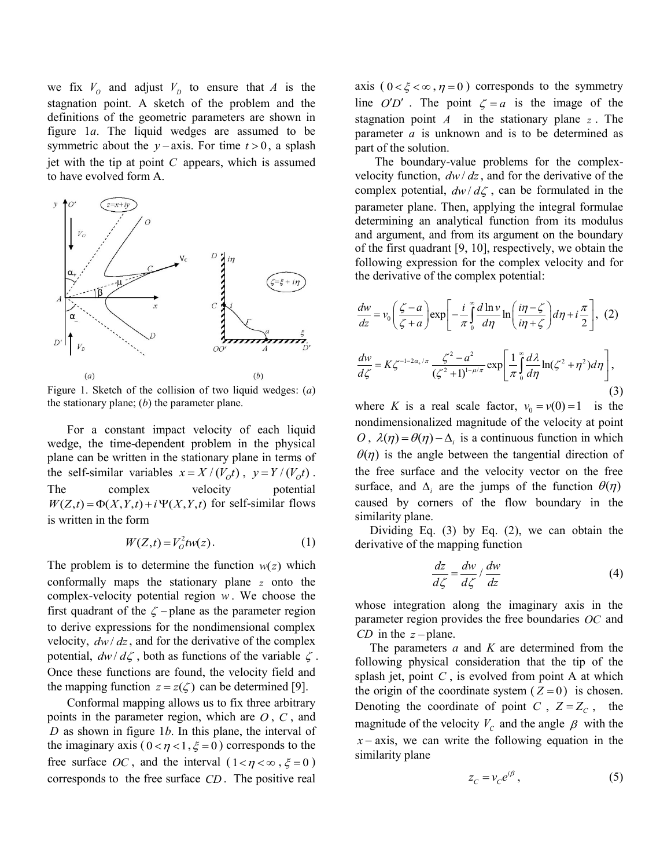we fix  $V_0$  and adjust  $V_D$  to ensure that A is the stagnation point. A sketch of the problem and the definitions of the geometric parameters are shown in figure 1*a*. The liquid wedges are assumed to be symmetric about the  $y$ -axis. For time  $t > 0$ , a splash jet with the tip at point *C* appears, which is assumed to have evolved form A.



Figure 1. Sketch of the collision of two liquid wedges: (*a*) the stationary plane; (*b*) the parameter plane.

For a constant impact velocity of each liquid wedge, the time-dependent problem in the physical plane can be written in the stationary plane in terms of the self-similar variables  $x = X/(V_0 t)$ ,  $y = Y/(V_0 t)$ . The complex velocity potential The complex velocity potential  $W(Z,t) = \Phi(X,Y,t) + i \Psi(X,Y,t)$  for self-similar flows is written in the form

$$
W(Z,t) = V_0^2 \text{tw}(z). \tag{1}
$$

The problem is to determine the function  $w(z)$  which conformally maps the stationary plane *z* onto the complex-velocity potential region *w* . We choose the first quadrant of the  $\zeta$  -plane as the parameter region to derive expressions for the nondimensional complex velocity,  $dw/dz$ , and for the derivative of the complex potential,  $dw/d\zeta$ , both as functions of the variable  $\zeta$ . Once these functions are found, the velocity field and the mapping function  $z = z(\zeta)$  can be determined [9].

Conformal mapping allows us to fix three arbitrary points in the parameter region, which are *O* , *C* , and *D* as shown in figure 1*b*. In this plane, the interval of the imaginary axis ( $0 < \eta < 1, \xi = 0$ ) corresponds to the free surface *OC*, and the interval  $(1 < \eta < \infty, \xi = 0)$ corresponds to the free surface *CD* . The positive real

axis  $(0 < \xi < \infty, \eta = 0)$  corresponds to the symmetry line  $O'D'$ . The point  $\zeta = a$  is the image of the stagnation point  $A$  in the stationary plane  $z$ . The parameter *a* is unknown and is to be determined as part of the solution.

The boundary-value problems for the complexvelocity function,  $dw/dz$ , and for the derivative of the complex potential,  $dw/d\zeta$ , can be formulated in the parameter plane. Then, applying the integral formulae determining an analytical function from its modulus and argument, and from its argument on the boundary of the first quadrant [9, 10], respectively, we obtain the following expression for the complex velocity and for the derivative of the complex potential:

$$
\frac{dw}{dz} = v_0 \left(\frac{\zeta - a}{\zeta + a}\right) \exp\left[-\frac{i}{\pi} \int_0^a \frac{d \ln v}{d \eta} \ln\left(\frac{i\eta - \zeta}{i\eta + \zeta}\right) d\eta + i\frac{\pi}{2}\right], (2)
$$
  

$$
\frac{dw}{d\zeta} = K \zeta^{-1-2a_+/ \pi} \frac{\zeta^2 - a^2}{(\zeta^2 + 1)^{1-\mu/\pi}} \exp\left[\frac{1}{\pi} \int_0^a \frac{d\lambda}{d\eta} \ln(\zeta^2 + \eta^2) d\eta\right],
$$
(3)

where *K* is a real scale factor,  $v_0 = v(0) = 1$  is the nondimensionalized magnitude of the velocity at point *O*,  $\lambda(\eta) = \theta(\eta) - \Delta_i$  is a continuous function in which  $\theta(\eta)$  is the angle between the tangential direction of the free surface and the velocity vector on the free surface, and  $\Delta_i$  are the jumps of the function  $\theta(\eta)$ caused by corners of the flow boundary in the similarity plane.

Dividing Eq. (3) by Eq. (2), we can obtain the derivative of the mapping function

$$
\frac{dz}{d\zeta} = \frac{dw}{d\zeta} / \frac{dw}{dz} \tag{4}
$$

whose integration along the imaginary axis in the parameter region provides the free boundaries *OC* and *CD* in the  $z$ -plane.

The parameters *a* and *K* are determined from the following physical consideration that the tip of the splash jet, point  $C$ , is evolved from point  $A$  at which the origin of the coordinate system  $(Z=0)$  is chosen. Denoting the coordinate of point C,  $Z = Z_c$ , the magnitude of the velocity  $V_c$  and the angle  $\beta$  with the  $x - axis$ , we can write the following equation in the similarity plane

$$
z_c = v_c e^{i\beta},\tag{5}
$$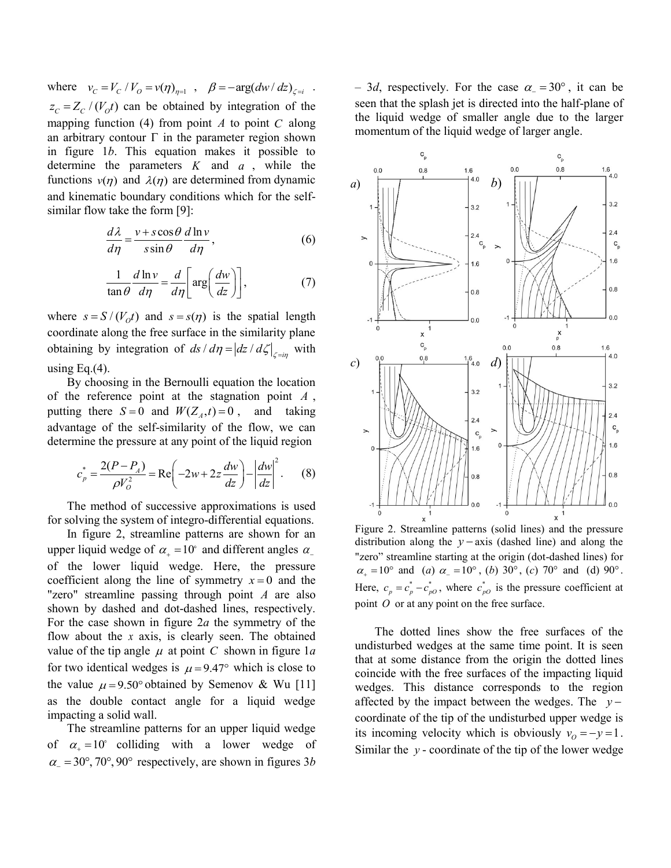where  $v_c = V_c / V_o = v(\eta)_{\eta=1}$ ,  $\beta = -\arg(dw/dz)_{\zeta=i}$ .  $z_c = Z_c / (V_o t)$  can be obtained by integration of the mapping function  $(4)$  from point A to point C along an arbitrary contour  $\Gamma$  in the parameter region shown in figure 1*b*. This equation makes it possible to determine the parameters  $K$  and  $a$ , while the functions  $v(\eta)$  and  $\lambda(\eta)$  are determined from dynamic and kinematic boundary conditions which for the selfsimilar flow take the form [9]:

$$
\frac{d\lambda}{d\eta} = \frac{v + s\cos\theta}{s\sin\theta} \frac{d\ln v}{d\eta},
$$
\n(6)

$$
\frac{1}{\tan \theta} \frac{d \ln v}{d \eta} = \frac{d}{d \eta} \left[ \arg \left( \frac{dw}{dz} \right) \right],\tag{7}
$$

where  $s = S/(V_0 t)$  and  $s = s(\eta)$  is the spatial length coordinate along the free surface in the similarity plane obtaining by integration of  $ds/d\eta = |dz/d\zeta|_{\zeta = i\eta}$  with using Eq. $(4)$ .

By choosing in the Bernoulli equation the location of the reference point at the stagnation point *A* , putting there  $S = 0$  and  $W(Z_A, t) = 0$ , and taking advantage of the self-similarity of the flow, we can determine the pressure at any point of the liquid region

$$
c_p^* = \frac{2(P - P_A)}{\rho V_O^2} = \text{Re}\left(-2w + 2z\frac{dw}{dz}\right) - \left|\frac{dw}{dz}\right|^2. \tag{8}
$$

The method of successive approximations is used for solving the system of integro-differential equations.

In figure 2, streamline patterns are shown for an upper liquid wedge of  $\alpha_+ = 10^\circ$  and different angles  $\alpha_$ of the lower liquid wedge. Here, the pressure coefficient along the line of symmetry  $x = 0$  and the "zero" streamline passing through point *A* are also shown by dashed and dot-dashed lines, respectively. For the case shown in figure 2*a* the symmetry of the flow about the *x* axis, is clearly seen. The obtained value of the tip angle  $\mu$  at point C shown in figure 1*a* for two identical wedges is  $\mu = 9.47^{\circ}$  which is close to the value  $\mu = 9.50^{\circ}$  obtained by Semenov & Wu [11] as the double contact angle for a liquid wedge impacting a solid wall.

The streamline patterns for an upper liquid wedge of  $\alpha_+ = 10^\circ$  colliding with a lower wedge of  $\alpha$ <sub>-</sub> = 30°, 70°, 90° respectively, are shown in figures 3*b* 

 $-$  3*d*, respectively. For the case  $\alpha = 30^{\circ}$ , it can be seen that the splash jet is directed into the half-plane of the liquid wedge of smaller angle due to the larger momentum of the liquid wedge of larger angle.



Figure 2. Streamline patterns (solid lines) and the pressure distribution along the  $y$  – axis (dashed line) and along the "zero" streamline starting at the origin (dot-dashed lines) for  $\alpha_+ = 10^\circ$  and (*a*)  $\alpha_- = 10^\circ$ , (*b*) 30°, (*c*) 70° and (d) 90°. Here,  $c_p = c_p^* - c_{p0}^*$ , where  $c_{p0}^*$  is the pressure coefficient at point O or at any point on the free surface.

The dotted lines show the free surfaces of the undisturbed wedges at the same time point. It is seen that at some distance from the origin the dotted lines coincide with the free surfaces of the impacting liquid wedges. This distance corresponds to the region affected by the impact between the wedges. The *y* coordinate of the tip of the undisturbed upper wedge is its incoming velocity which is obviously  $v_0 = -y = 1$ . Similar the  $y$  - coordinate of the tip of the lower wedge